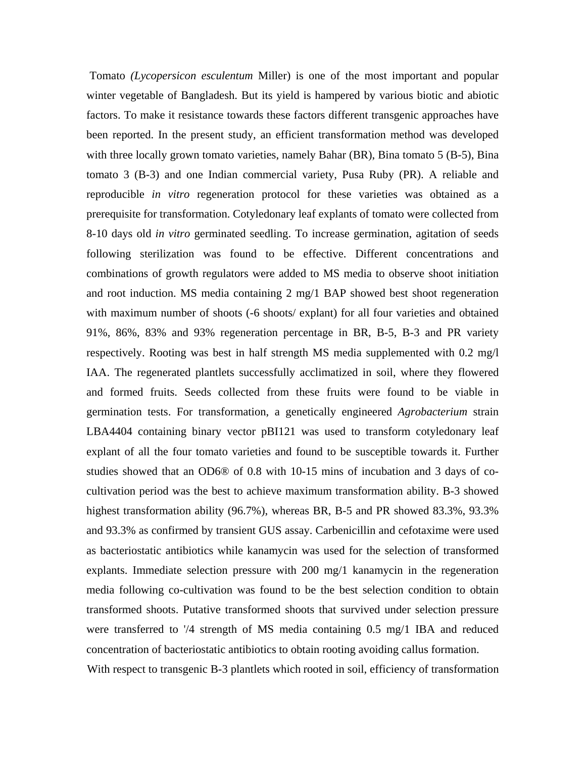Tomato *(Lycopersicon esculentum* Miller) is one of the most important and popular winter vegetable of Bangladesh. But its yield is hampered by various biotic and abiotic factors. To make it resistance towards these factors different transgenic approaches have been reported. In the present study, an efficient transformation method was developed with three locally grown tomato varieties, namely Bahar (BR), Bina tomato 5 (B-5), Bina tomato 3 (B-3) and one Indian commercial variety, Pusa Ruby (PR). A reliable and reproducible *in vitro* regeneration protocol for these varieties was obtained as a prerequisite for transformation. Cotyledonary leaf explants of tomato were collected from 8-10 days old *in vitro* germinated seedling. To increase germination, agitation of seeds following sterilization was found to be effective. Different concentrations and combinations of growth regulators were added to MS media to observe shoot initiation and root induction. MS media containing 2 mg/1 BAP showed best shoot regeneration with maximum number of shoots (-6 shoots/ explant) for all four varieties and obtained 91%, 86%, 83% and 93% regeneration percentage in BR, B-5, B-3 and PR variety respectively. Rooting was best in half strength MS media supplemented with 0.2 mg/l IAA. The regenerated plantlets successfully acclimatized in soil, where they flowered and formed fruits. Seeds collected from these fruits were found to be viable in germination tests. For transformation, a genetically engineered *Agrobacterium* strain LBA4404 containing binary vector pBI121 was used to transform cotyledonary leaf explant of all the four tomato varieties and found to be susceptible towards it. Further studies showed that an OD6® of 0.8 with 10-15 mins of incubation and 3 days of cocultivation period was the best to achieve maximum transformation ability. B-3 showed highest transformation ability (96.7%), whereas BR, B-5 and PR showed 83.3%, 93.3% and 93.3% as confirmed by transient GUS assay. Carbenicillin and cefotaxime were used as bacteriostatic antibiotics while kanamycin was used for the selection of transformed explants. Immediate selection pressure with 200 mg/1 kanamycin in the regeneration media following co-cultivation was found to be the best selection condition to obtain transformed shoots. Putative transformed shoots that survived under selection pressure were transferred to '/4 strength of MS media containing 0.5 mg/1 IBA and reduced concentration of bacteriostatic antibiotics to obtain rooting avoiding callus formation.

With respect to transgenic B-3 plantlets which rooted in soil, efficiency of transformation